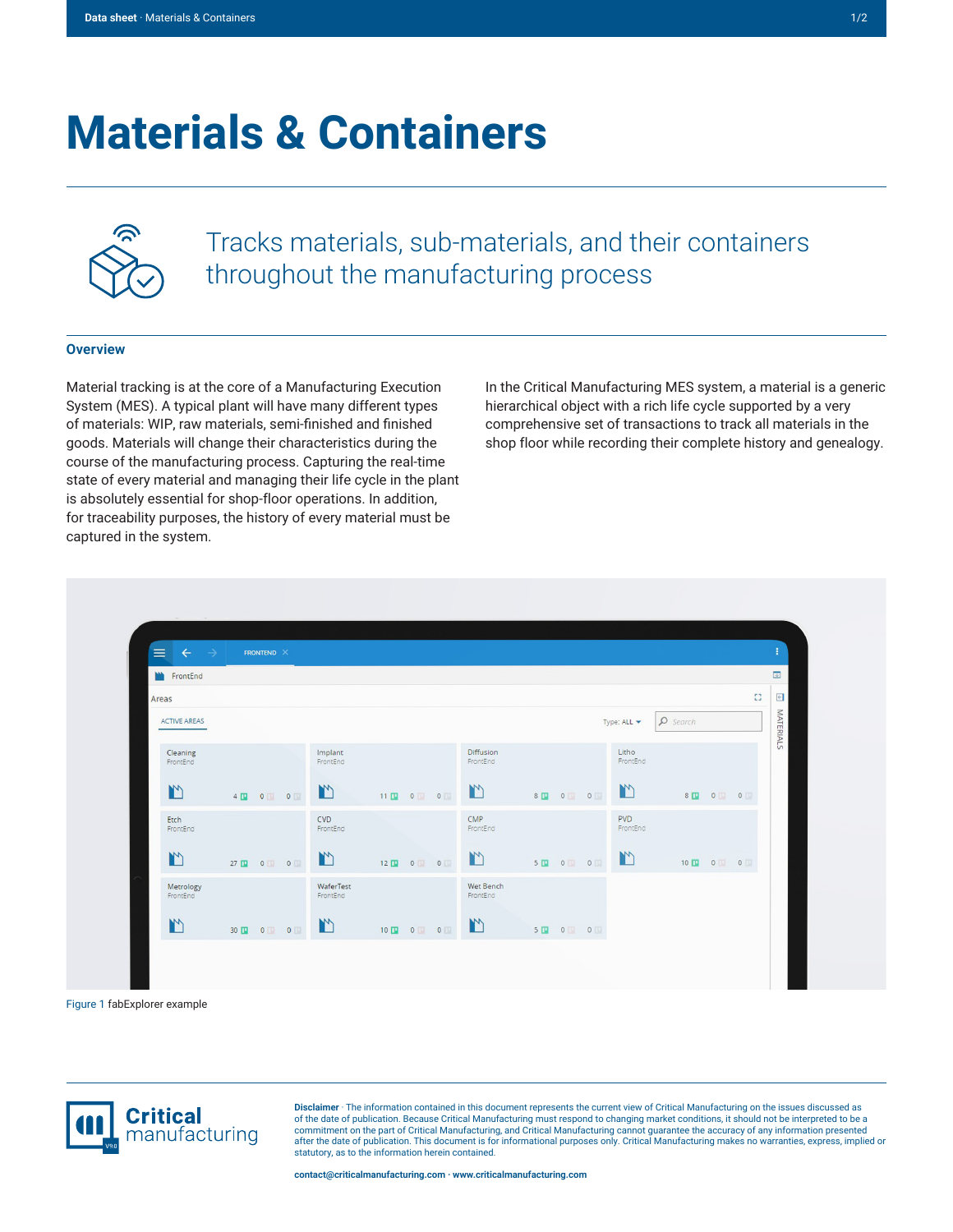## **Materials & Containers**



Tracks materials, sub-materials, and their containers throughout the manufacturing process

## **Overview**

Material tracking is at the core of a Manufacturing Execution System (MES). A typical plant will have many different types of materials: WIP, raw materials, semi-finished and finished goods. Materials will change their characteristics during the course of the manufacturing process. Capturing the real-time state of every material and managing their life cycle in the plant is absolutely essential for shop-floor operations. In addition, for traceability purposes, the history of every material must be captured in the system.

In the Critical Manufacturing MES system, a material is a generic hierarchical object with a rich life cycle supported by a very comprehensive set of transactions to track all materials in the shop floor while recording their complete history and genealogy.



Figure 1 fabExplorer example



**Disclaimer** · The information contained in this document represents the current view of Critical Manufacturing on the issues discussed as of the date of publication. Because Critical Manufacturing must respond to changing market conditions, it should not be interpreted to be a commitment on the part of Critical Manufacturing, and Critical Manufacturing cannot guarantee the accuracy of any information presented after the date of publication. This document is for informational purposes only. Critical Manufacturing makes no warranties, express, implied or statutory, as to the information herein contained.